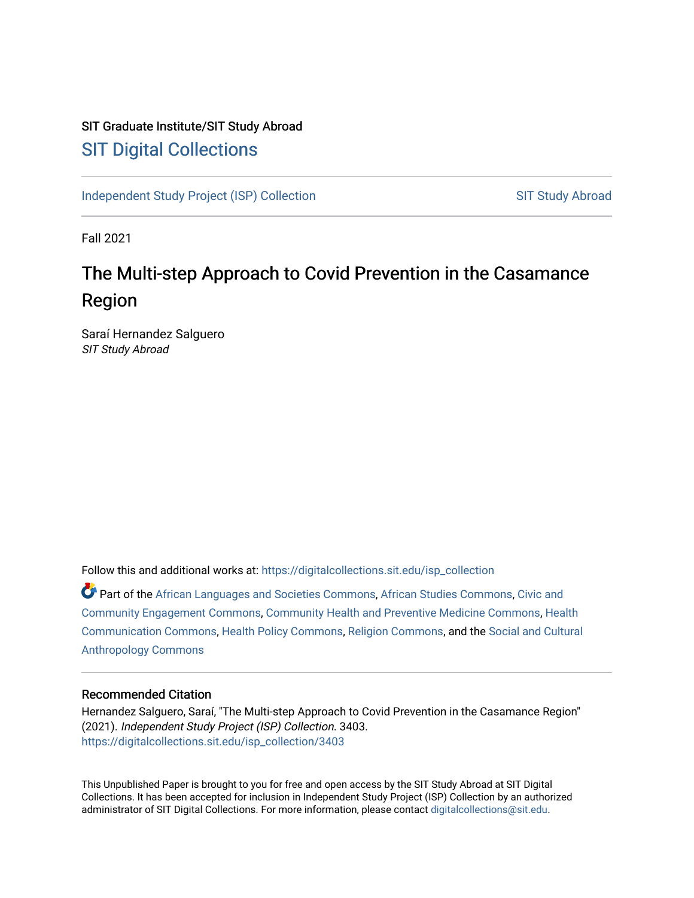## SIT Graduate Institute/SIT Study Abroad [SIT Digital Collections](https://digitalcollections.sit.edu/)

[Independent Study Project \(ISP\) Collection](https://digitalcollections.sit.edu/isp_collection) [SIT Study Abroad](https://digitalcollections.sit.edu/study_abroad) SIT Study Abroad

Fall 2021

# The Multi-step Approach to Covid Prevention in the Casamance Region

Saraí Hernandez Salguero SIT Study Abroad

Follow this and additional works at: [https://digitalcollections.sit.edu/isp\\_collection](https://digitalcollections.sit.edu/isp_collection?utm_source=digitalcollections.sit.edu%2Fisp_collection%2F3403&utm_medium=PDF&utm_campaign=PDFCoverPages) 

Part of the [African Languages and Societies Commons,](http://network.bepress.com/hgg/discipline/476?utm_source=digitalcollections.sit.edu%2Fisp_collection%2F3403&utm_medium=PDF&utm_campaign=PDFCoverPages) [African Studies Commons](http://network.bepress.com/hgg/discipline/1043?utm_source=digitalcollections.sit.edu%2Fisp_collection%2F3403&utm_medium=PDF&utm_campaign=PDFCoverPages), [Civic and](http://network.bepress.com/hgg/discipline/1028?utm_source=digitalcollections.sit.edu%2Fisp_collection%2F3403&utm_medium=PDF&utm_campaign=PDFCoverPages) [Community Engagement Commons](http://network.bepress.com/hgg/discipline/1028?utm_source=digitalcollections.sit.edu%2Fisp_collection%2F3403&utm_medium=PDF&utm_campaign=PDFCoverPages), [Community Health and Preventive Medicine Commons,](http://network.bepress.com/hgg/discipline/744?utm_source=digitalcollections.sit.edu%2Fisp_collection%2F3403&utm_medium=PDF&utm_campaign=PDFCoverPages) [Health](http://network.bepress.com/hgg/discipline/330?utm_source=digitalcollections.sit.edu%2Fisp_collection%2F3403&utm_medium=PDF&utm_campaign=PDFCoverPages) [Communication Commons](http://network.bepress.com/hgg/discipline/330?utm_source=digitalcollections.sit.edu%2Fisp_collection%2F3403&utm_medium=PDF&utm_campaign=PDFCoverPages), [Health Policy Commons,](http://network.bepress.com/hgg/discipline/395?utm_source=digitalcollections.sit.edu%2Fisp_collection%2F3403&utm_medium=PDF&utm_campaign=PDFCoverPages) [Religion Commons](http://network.bepress.com/hgg/discipline/538?utm_source=digitalcollections.sit.edu%2Fisp_collection%2F3403&utm_medium=PDF&utm_campaign=PDFCoverPages), and the [Social and Cultural](http://network.bepress.com/hgg/discipline/323?utm_source=digitalcollections.sit.edu%2Fisp_collection%2F3403&utm_medium=PDF&utm_campaign=PDFCoverPages) [Anthropology Commons](http://network.bepress.com/hgg/discipline/323?utm_source=digitalcollections.sit.edu%2Fisp_collection%2F3403&utm_medium=PDF&utm_campaign=PDFCoverPages)

#### Recommended Citation

Hernandez Salguero, Saraí, "The Multi-step Approach to Covid Prevention in the Casamance Region" (2021). Independent Study Project (ISP) Collection. 3403. [https://digitalcollections.sit.edu/isp\\_collection/3403](https://digitalcollections.sit.edu/isp_collection/3403?utm_source=digitalcollections.sit.edu%2Fisp_collection%2F3403&utm_medium=PDF&utm_campaign=PDFCoverPages) 

This Unpublished Paper is brought to you for free and open access by the SIT Study Abroad at SIT Digital Collections. It has been accepted for inclusion in Independent Study Project (ISP) Collection by an authorized administrator of SIT Digital Collections. For more information, please contact [digitalcollections@sit.edu](mailto:digitalcollections@sit.edu).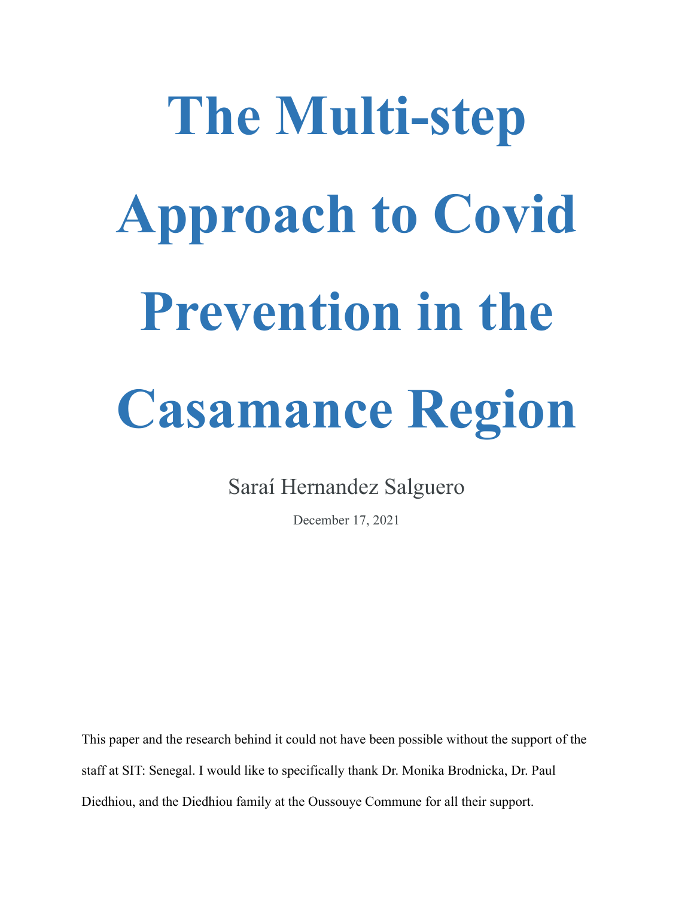# **The Multi-step Approach to Covid Prevention in the Casamance Region**

Saraí Hernandez Salguero

December 17, 2021

This paper and the research behind it could not have been possible without the support of the staff at SIT: Senegal. I would like to specifically thank Dr. Monika Brodnicka, Dr. Paul Diedhiou, and the Diedhiou family at the Oussouye Commune for all their support.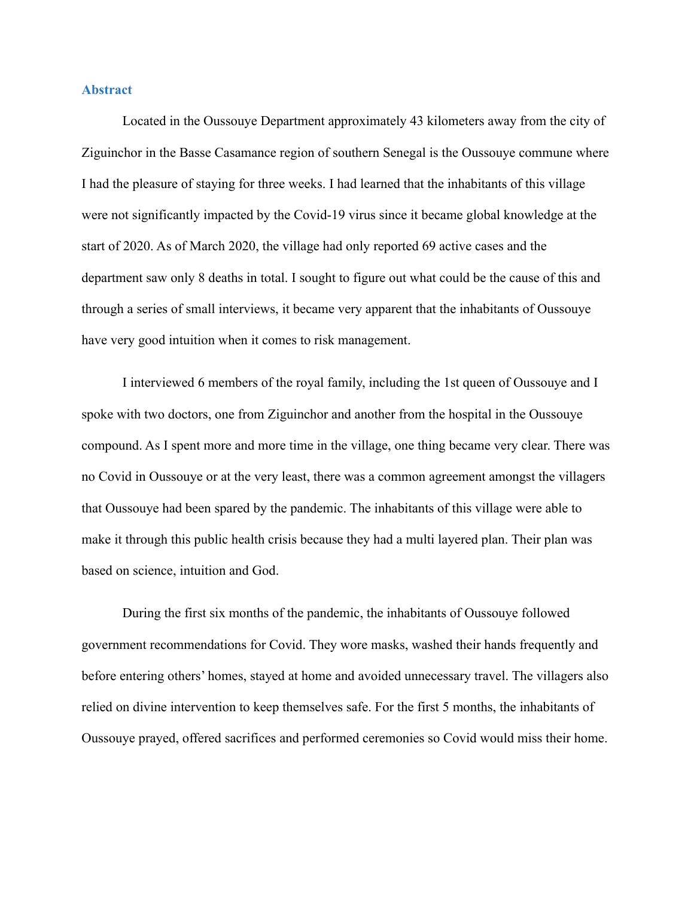#### **Abstract**

Located in the Oussouye Department approximately 43 kilometers away from the city of Ziguinchor in the Basse Casamance region of southern Senegal is the Oussouye commune where I had the pleasure of staying for three weeks. I had learned that the inhabitants of this village were not significantly impacted by the Covid-19 virus since it became global knowledge at the start of 2020. As of March 2020, the village had only reported 69 active cases and the department saw only 8 deaths in total. I sought to figure out what could be the cause of this and through a series of small interviews, it became very apparent that the inhabitants of Oussouye have very good intuition when it comes to risk management.

I interviewed 6 members of the royal family, including the 1st queen of Oussouye and I spoke with two doctors, one from Ziguinchor and another from the hospital in the Oussouye compound. As I spent more and more time in the village, one thing became very clear. There was no Covid in Oussouye or at the very least, there was a common agreement amongst the villagers that Oussouye had been spared by the pandemic. The inhabitants of this village were able to make it through this public health crisis because they had a multi layered plan. Their plan was based on science, intuition and God.

During the first six months of the pandemic, the inhabitants of Oussouye followed government recommendations for Covid. They wore masks, washed their hands frequently and before entering others' homes, stayed at home and avoided unnecessary travel. The villagers also relied on divine intervention to keep themselves safe. For the first 5 months, the inhabitants of Oussouye prayed, offered sacrifices and performed ceremonies so Covid would miss their home.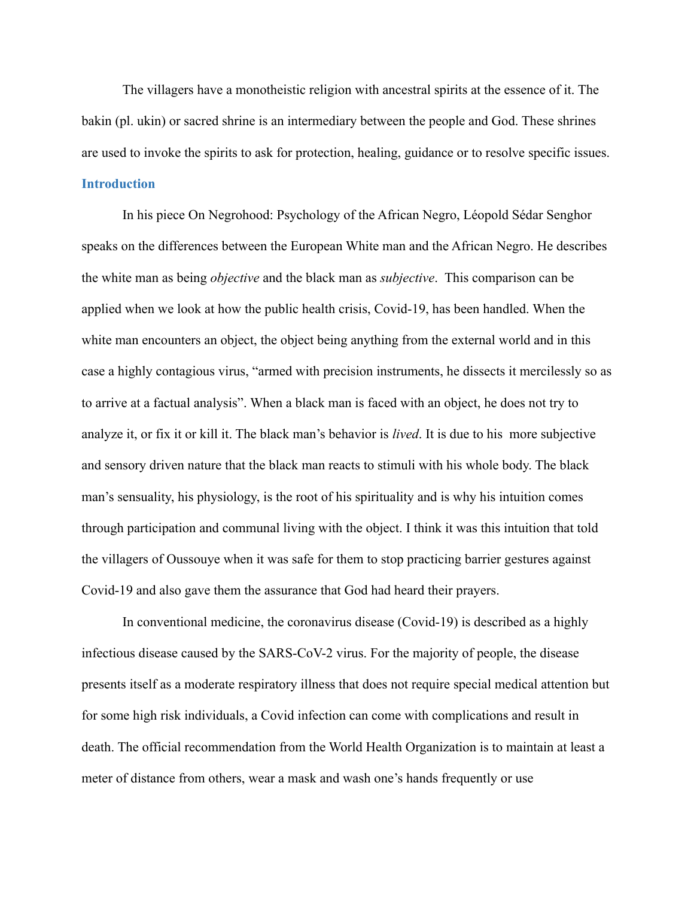The villagers have a monotheistic religion with ancestral spirits at the essence of it. The bakin (pl. ukin) or sacred shrine is an intermediary between the people and God. These shrines are used to invoke the spirits to ask for protection, healing, guidance or to resolve specific issues. **Introduction**

In his piece On Negrohood: Psychology of the African Negro, Léopold Sédar Senghor speaks on the differences between the European White man and the African Negro. He describes the white man as being *objective* and the black man as *subjective*. This comparison can be applied when we look at how the public health crisis, Covid-19, has been handled. When the white man encounters an object, the object being anything from the external world and in this case a highly contagious virus, "armed with precision instruments, he dissects it mercilessly so as to arrive at a factual analysis". When a black man is faced with an object, he does not try to analyze it, or fix it or kill it. The black man's behavior is *lived*. It is due to his more subjective and sensory driven nature that the black man reacts to stimuli with his whole body. The black man's sensuality, his physiology, is the root of his spirituality and is why his intuition comes through participation and communal living with the object. I think it was this intuition that told the villagers of Oussouye when it was safe for them to stop practicing barrier gestures against Covid-19 and also gave them the assurance that God had heard their prayers.

In conventional medicine, the coronavirus disease (Covid-19) is described as a highly infectious disease caused by the SARS-CoV-2 virus. For the majority of people, the disease presents itself as a moderate respiratory illness that does not require special medical attention but for some high risk individuals, a Covid infection can come with complications and result in death. The official recommendation from the World Health Organization is to maintain at least a meter of distance from others, wear a mask and wash one's hands frequently or use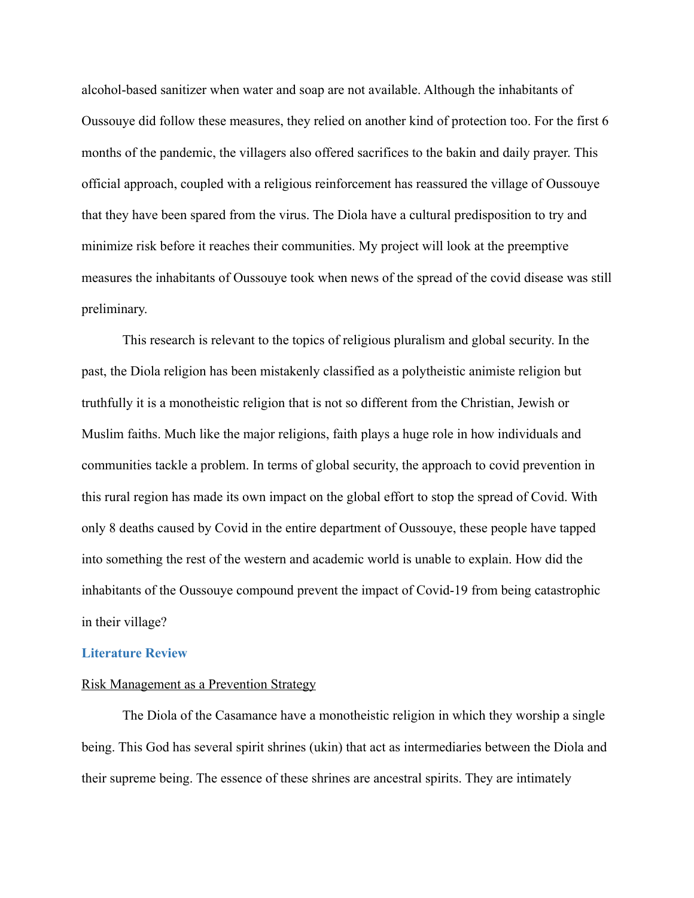alcohol-based sanitizer when water and soap are not available. Although the inhabitants of Oussouye did follow these measures, they relied on another kind of protection too. For the first 6 months of the pandemic, the villagers also offered sacrifices to the bakin and daily prayer. This official approach, coupled with a religious reinforcement has reassured the village of Oussouye that they have been spared from the virus. The Diola have a cultural predisposition to try and minimize risk before it reaches their communities. My project will look at the preemptive measures the inhabitants of Oussouye took when news of the spread of the covid disease was still preliminary.

This research is relevant to the topics of religious pluralism and global security. In the past, the Diola religion has been mistakenly classified as a polytheistic animiste religion but truthfully it is a monotheistic religion that is not so different from the Christian, Jewish or Muslim faiths. Much like the major religions, faith plays a huge role in how individuals and communities tackle a problem. In terms of global security, the approach to covid prevention in this rural region has made its own impact on the global effort to stop the spread of Covid. With only 8 deaths caused by Covid in the entire department of Oussouye, these people have tapped into something the rest of the western and academic world is unable to explain. How did the inhabitants of the Oussouye compound prevent the impact of Covid-19 from being catastrophic in their village?

#### **Literature Review**

#### Risk Management as a Prevention Strategy

The Diola of the Casamance have a monotheistic religion in which they worship a single being. This God has several spirit shrines (ukin) that act as intermediaries between the Diola and their supreme being. The essence of these shrines are ancestral spirits. They are intimately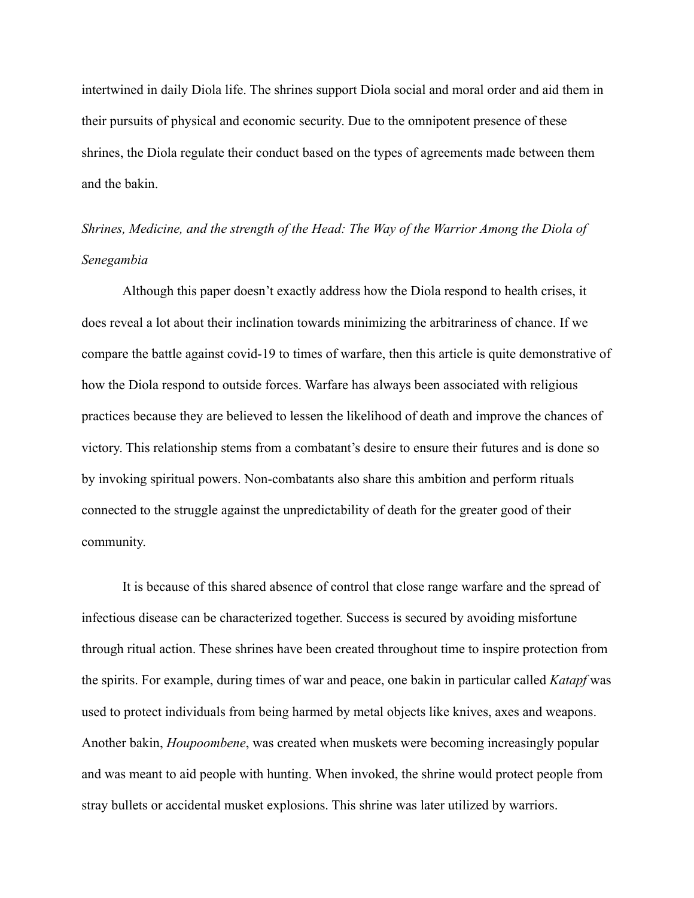intertwined in daily Diola life. The shrines support Diola social and moral order and aid them in their pursuits of physical and economic security. Due to the omnipotent presence of these shrines, the Diola regulate their conduct based on the types of agreements made between them and the bakin.

# *Shrines, Medicine, and the strength of the Head: The Way of the Warrior Among the Diola of Senegambia*

Although this paper doesn't exactly address how the Diola respond to health crises, it does reveal a lot about their inclination towards minimizing the arbitrariness of chance. If we compare the battle against covid-19 to times of warfare, then this article is quite demonstrative of how the Diola respond to outside forces. Warfare has always been associated with religious practices because they are believed to lessen the likelihood of death and improve the chances of victory. This relationship stems from a combatant's desire to ensure their futures and is done so by invoking spiritual powers. Non-combatants also share this ambition and perform rituals connected to the struggle against the unpredictability of death for the greater good of their community.

It is because of this shared absence of control that close range warfare and the spread of infectious disease can be characterized together. Success is secured by avoiding misfortune through ritual action. These shrines have been created throughout time to inspire protection from the spirits. For example, during times of war and peace, one bakin in particular called *Katapf* was used to protect individuals from being harmed by metal objects like knives, axes and weapons. Another bakin, *Houpoombene*, was created when muskets were becoming increasingly popular and was meant to aid people with hunting. When invoked, the shrine would protect people from stray bullets or accidental musket explosions. This shrine was later utilized by warriors.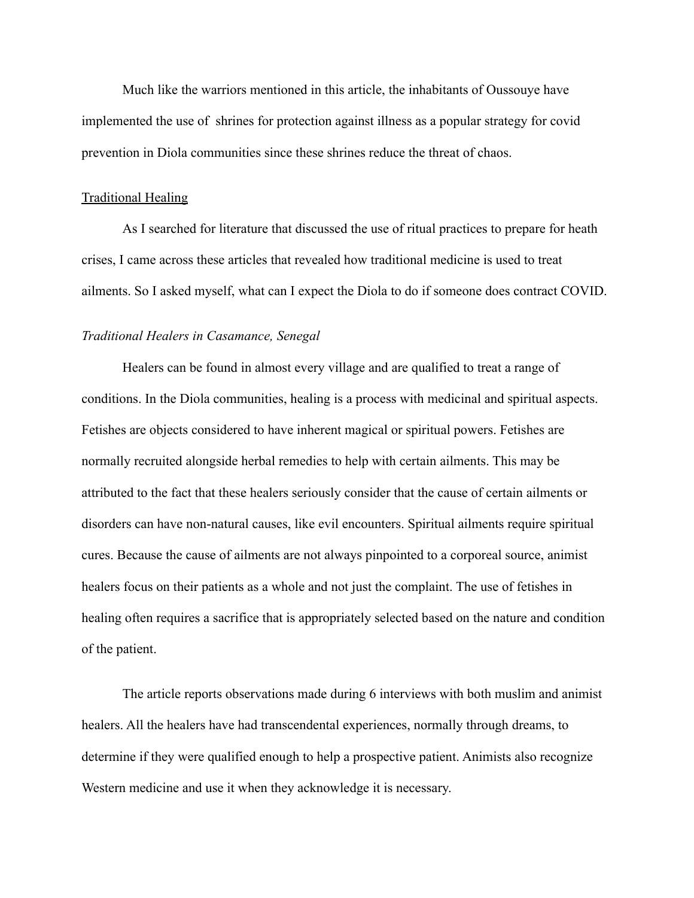Much like the warriors mentioned in this article, the inhabitants of Oussouye have implemented the use of shrines for protection against illness as a popular strategy for covid prevention in Diola communities since these shrines reduce the threat of chaos.

#### Traditional Healing

As I searched for literature that discussed the use of ritual practices to prepare for heath crises, I came across these articles that revealed how traditional medicine is used to treat ailments. So I asked myself, what can I expect the Diola to do if someone does contract COVID.

#### *Traditional Healers in Casamance, Senegal*

Healers can be found in almost every village and are qualified to treat a range of conditions. In the Diola communities, healing is a process with medicinal and spiritual aspects. Fetishes are objects considered to have inherent magical or spiritual powers. Fetishes are normally recruited alongside herbal remedies to help with certain ailments. This may be attributed to the fact that these healers seriously consider that the cause of certain ailments or disorders can have non-natural causes, like evil encounters. Spiritual ailments require spiritual cures. Because the cause of ailments are not always pinpointed to a corporeal source, animist healers focus on their patients as a whole and not just the complaint. The use of fetishes in healing often requires a sacrifice that is appropriately selected based on the nature and condition of the patient.

The article reports observations made during 6 interviews with both muslim and animist healers. All the healers have had transcendental experiences, normally through dreams, to determine if they were qualified enough to help a prospective patient. Animists also recognize Western medicine and use it when they acknowledge it is necessary.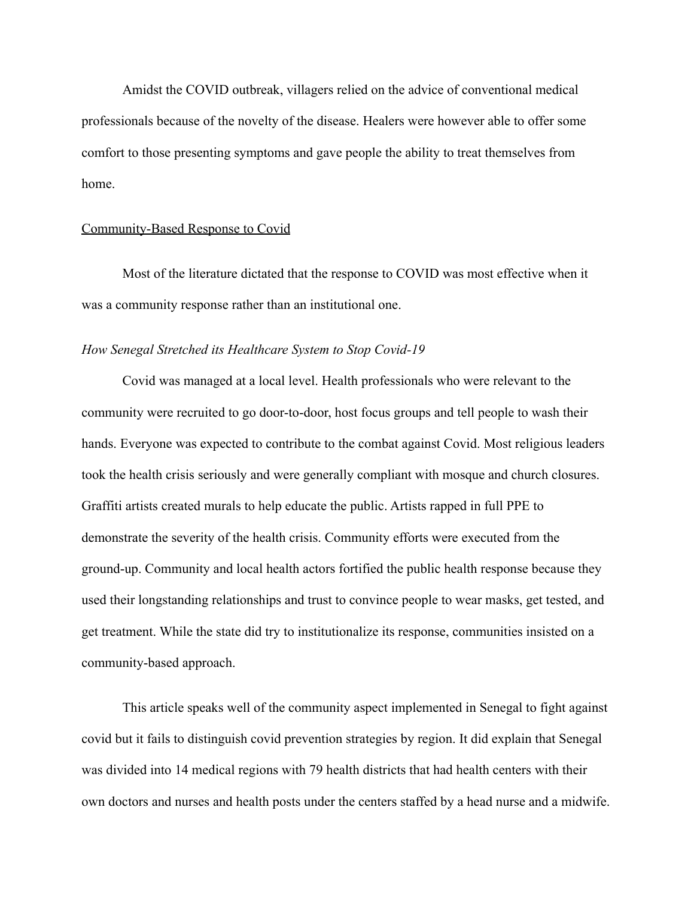Amidst the COVID outbreak, villagers relied on the advice of conventional medical professionals because of the novelty of the disease. Healers were however able to offer some comfort to those presenting symptoms and gave people the ability to treat themselves from home.

#### Community-Based Response to Covid

Most of the literature dictated that the response to COVID was most effective when it was a community response rather than an institutional one.

#### *How Senegal Stretched its Healthcare System to Stop Covid-19*

Covid was managed at a local level. Health professionals who were relevant to the community were recruited to go door-to-door, host focus groups and tell people to wash their hands. Everyone was expected to contribute to the combat against Covid. Most religious leaders took the health crisis seriously and were generally compliant with mosque and church closures. Graffiti artists created murals to help educate the public. Artists rapped in full PPE to demonstrate the severity of the health crisis. Community efforts were executed from the ground-up. Community and local health actors fortified the public health response because they used their longstanding relationships and trust to convince people to wear masks, get tested, and get treatment. While the state did try to institutionalize its response, communities insisted on a community-based approach.

This article speaks well of the community aspect implemented in Senegal to fight against covid but it fails to distinguish covid prevention strategies by region. It did explain that Senegal was divided into 14 medical regions with 79 health districts that had health centers with their own doctors and nurses and health posts under the centers staffed by a head nurse and a midwife.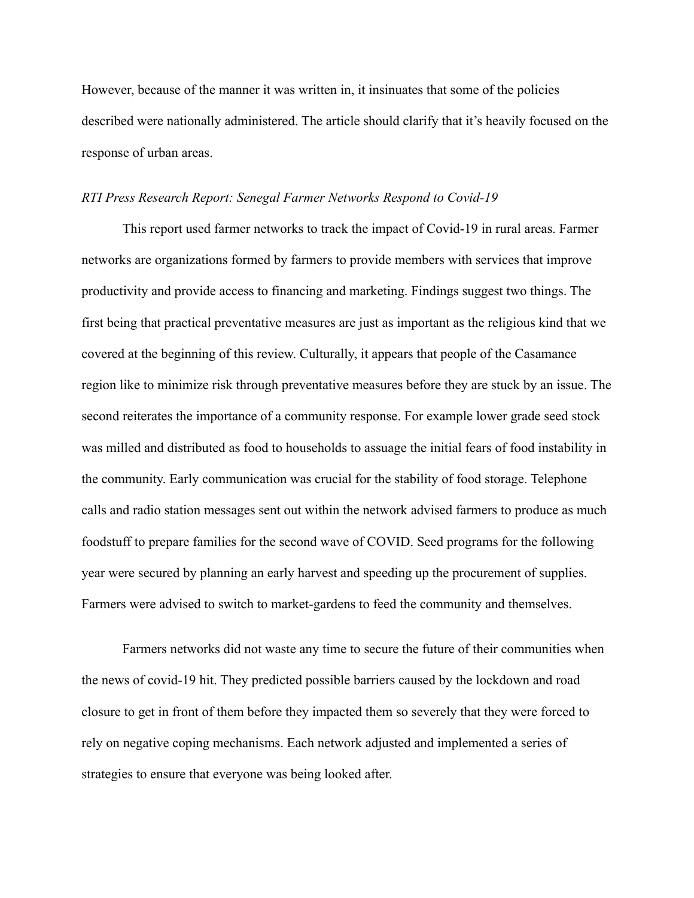However, because of the manner it was written in, it insinuates that some of the policies described were nationally administered. The article should clarify that it's heavily focused on the response of urban areas.

#### *RTI Press Research Report: Senegal Farmer Networks Respond to Covid-19*

This report used farmer networks to track the impact of Covid-19 in rural areas. Farmer networks are organizations formed by farmers to provide members with services that improve productivity and provide access to financing and marketing. Findings suggest two things. The first being that practical preventative measures are just as important as the religious kind that we covered at the beginning of this review. Culturally, it appears that people of the Casamance region like to minimize risk through preventative measures before they are stuck by an issue. The second reiterates the importance of a community response. For example lower grade seed stock was milled and distributed as food to households to assuage the initial fears of food instability in the community. Early communication was crucial for the stability of food storage. Telephone calls and radio station messages sent out within the network advised farmers to produce as much foodstuff to prepare families for the second wave of COVID. Seed programs for the following year were secured by planning an early harvest and speeding up the procurement of supplies. Farmers were advised to switch to market-gardens to feed the community and themselves.

Farmers networks did not waste any time to secure the future of their communities when the news of covid-19 hit. They predicted possible barriers caused by the lockdown and road closure to get in front of them before they impacted them so severely that they were forced to rely on negative coping mechanisms. Each network adjusted and implemented a series of strategies to ensure that everyone was being looked after.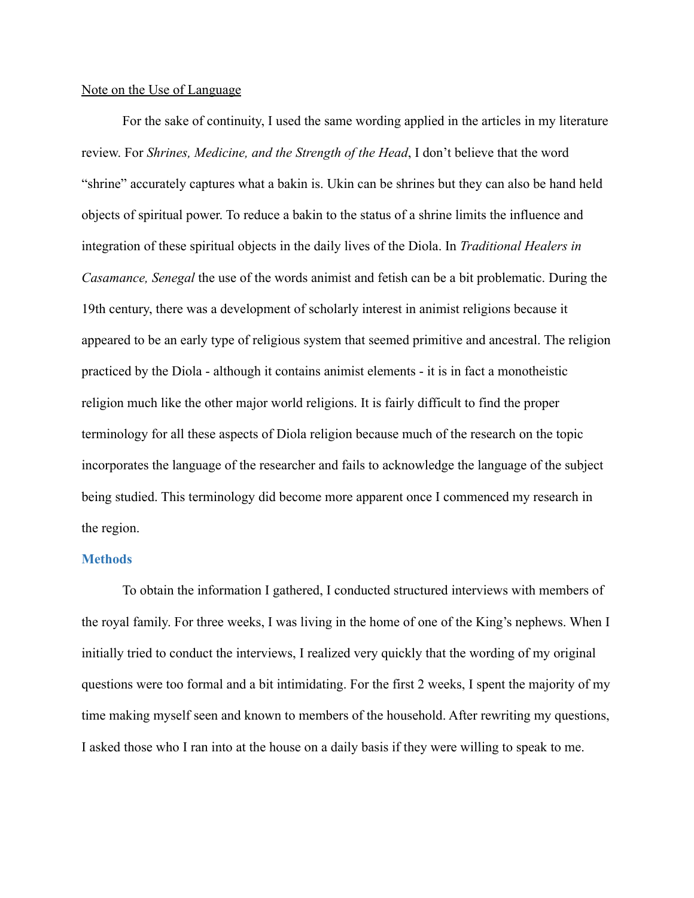#### Note on the Use of Language

For the sake of continuity, I used the same wording applied in the articles in my literature review. For *Shrines, Medicine, and the Strength of the Head*, I don't believe that the word "shrine" accurately captures what a bakin is. Ukin can be shrines but they can also be hand held objects of spiritual power. To reduce a bakin to the status of a shrine limits the influence and integration of these spiritual objects in the daily lives of the Diola. In *Traditional Healers in Casamance, Senegal* the use of the words animist and fetish can be a bit problematic. During the 19th century, there was a development of scholarly interest in animist religions because it appeared to be an early type of religious system that seemed primitive and ancestral. The religion practiced by the Diola - although it contains animist elements - it is in fact a monotheistic religion much like the other major world religions. It is fairly difficult to find the proper terminology for all these aspects of Diola religion because much of the research on the topic incorporates the language of the researcher and fails to acknowledge the language of the subject being studied. This terminology did become more apparent once I commenced my research in the region.

#### **Methods**

To obtain the information I gathered, I conducted structured interviews with members of the royal family. For three weeks, I was living in the home of one of the King's nephews. When I initially tried to conduct the interviews, I realized very quickly that the wording of my original questions were too formal and a bit intimidating. For the first 2 weeks, I spent the majority of my time making myself seen and known to members of the household. After rewriting my questions, I asked those who I ran into at the house on a daily basis if they were willing to speak to me.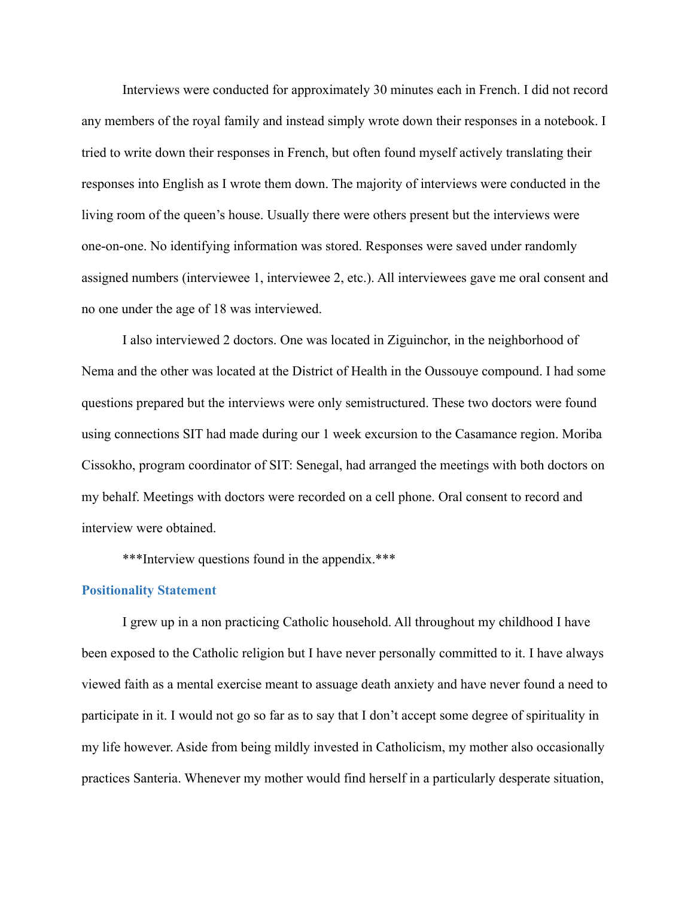Interviews were conducted for approximately 30 minutes each in French. I did not record any members of the royal family and instead simply wrote down their responses in a notebook. I tried to write down their responses in French, but often found myself actively translating their responses into English as I wrote them down. The majority of interviews were conducted in the living room of the queen's house. Usually there were others present but the interviews were one-on-one. No identifying information was stored. Responses were saved under randomly assigned numbers (interviewee 1, interviewee 2, etc.). All interviewees gave me oral consent and no one under the age of 18 was interviewed.

I also interviewed 2 doctors. One was located in Ziguinchor, in the neighborhood of Nema and the other was located at the District of Health in the Oussouye compound. I had some questions prepared but the interviews were only semistructured. These two doctors were found using connections SIT had made during our 1 week excursion to the Casamance region. Moriba Cissokho, program coordinator of SIT: Senegal, had arranged the meetings with both doctors on my behalf. Meetings with doctors were recorded on a cell phone. Oral consent to record and interview were obtained.

\*\*\*Interview questions found in the appendix.\*\*\*

#### **Positionality Statement**

I grew up in a non practicing Catholic household. All throughout my childhood I have been exposed to the Catholic religion but I have never personally committed to it. I have always viewed faith as a mental exercise meant to assuage death anxiety and have never found a need to participate in it. I would not go so far as to say that I don't accept some degree of spirituality in my life however. Aside from being mildly invested in Catholicism, my mother also occasionally practices Santeria. Whenever my mother would find herself in a particularly desperate situation,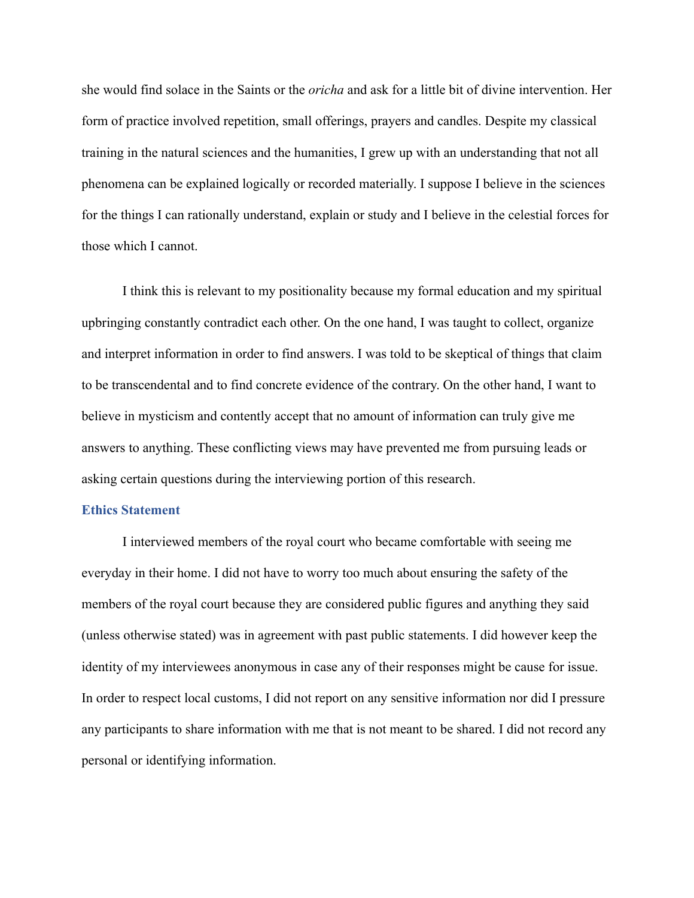she would find solace in the Saints or the *oricha* and ask for a little bit of divine intervention. Her form of practice involved repetition, small offerings, prayers and candles. Despite my classical training in the natural sciences and the humanities, I grew up with an understanding that not all phenomena can be explained logically or recorded materially. I suppose I believe in the sciences for the things I can rationally understand, explain or study and I believe in the celestial forces for those which I cannot.

I think this is relevant to my positionality because my formal education and my spiritual upbringing constantly contradict each other. On the one hand, I was taught to collect, organize and interpret information in order to find answers. I was told to be skeptical of things that claim to be transcendental and to find concrete evidence of the contrary. On the other hand, I want to believe in mysticism and contently accept that no amount of information can truly give me answers to anything. These conflicting views may have prevented me from pursuing leads or asking certain questions during the interviewing portion of this research.

#### **Ethics Statement**

I interviewed members of the royal court who became comfortable with seeing me everyday in their home. I did not have to worry too much about ensuring the safety of the members of the royal court because they are considered public figures and anything they said (unless otherwise stated) was in agreement with past public statements. I did however keep the identity of my interviewees anonymous in case any of their responses might be cause for issue. In order to respect local customs, I did not report on any sensitive information nor did I pressure any participants to share information with me that is not meant to be shared. I did not record any personal or identifying information.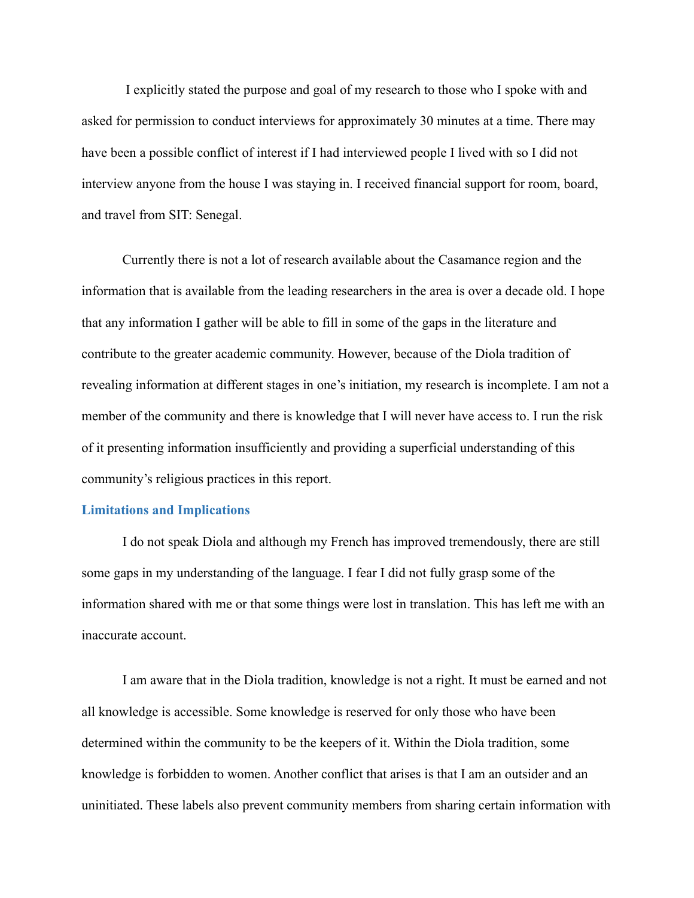I explicitly stated the purpose and goal of my research to those who I spoke with and asked for permission to conduct interviews for approximately 30 minutes at a time. There may have been a possible conflict of interest if I had interviewed people I lived with so I did not interview anyone from the house I was staying in. I received financial support for room, board, and travel from SIT: Senegal.

Currently there is not a lot of research available about the Casamance region and the information that is available from the leading researchers in the area is over a decade old. I hope that any information I gather will be able to fill in some of the gaps in the literature and contribute to the greater academic community. However, because of the Diola tradition of revealing information at different stages in one's initiation, my research is incomplete. I am not a member of the community and there is knowledge that I will never have access to. I run the risk of it presenting information insufficiently and providing a superficial understanding of this community's religious practices in this report.

#### **Limitations and Implications**

I do not speak Diola and although my French has improved tremendously, there are still some gaps in my understanding of the language. I fear I did not fully grasp some of the information shared with me or that some things were lost in translation. This has left me with an inaccurate account.

I am aware that in the Diola tradition, knowledge is not a right. It must be earned and not all knowledge is accessible. Some knowledge is reserved for only those who have been determined within the community to be the keepers of it. Within the Diola tradition, some knowledge is forbidden to women. Another conflict that arises is that I am an outsider and an uninitiated. These labels also prevent community members from sharing certain information with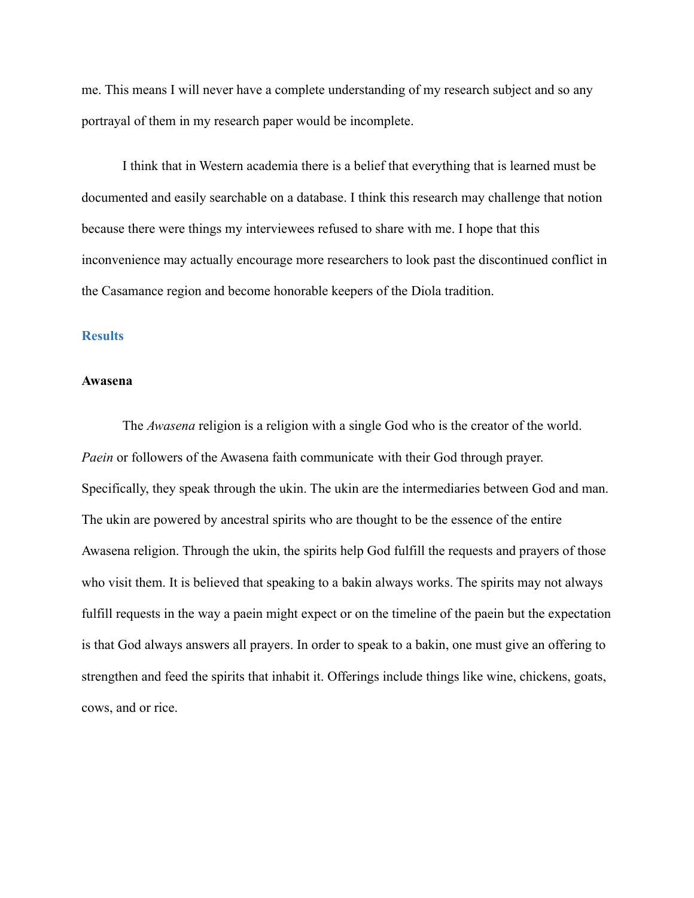me. This means I will never have a complete understanding of my research subject and so any portrayal of them in my research paper would be incomplete.

I think that in Western academia there is a belief that everything that is learned must be documented and easily searchable on a database. I think this research may challenge that notion because there were things my interviewees refused to share with me. I hope that this inconvenience may actually encourage more researchers to look past the discontinued conflict in the Casamance region and become honorable keepers of the Diola tradition.

#### **Results**

#### **Awasena**

The *Awasena* religion is a religion with a single God who is the creator of the world. *Paein* or followers of the Awasena faith communicate with their God through prayer. Specifically, they speak through the ukin. The ukin are the intermediaries between God and man. The ukin are powered by ancestral spirits who are thought to be the essence of the entire Awasena religion. Through the ukin, the spirits help God fulfill the requests and prayers of those who visit them. It is believed that speaking to a bakin always works. The spirits may not always fulfill requests in the way a paein might expect or on the timeline of the paein but the expectation is that God always answers all prayers. In order to speak to a bakin, one must give an offering to strengthen and feed the spirits that inhabit it. Offerings include things like wine, chickens, goats, cows, and or rice.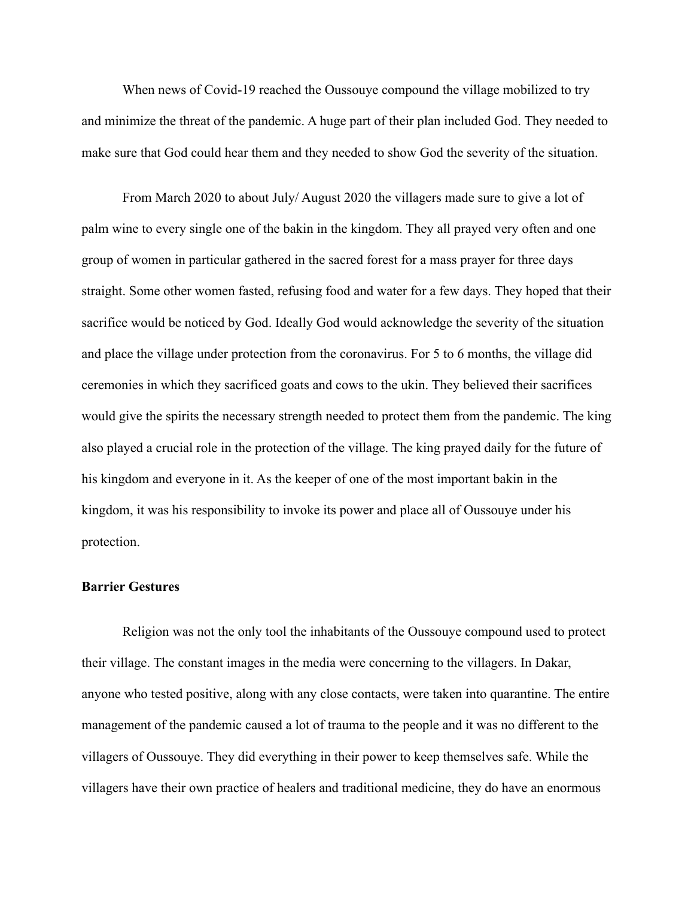When news of Covid-19 reached the Oussouye compound the village mobilized to try and minimize the threat of the pandemic. A huge part of their plan included God. They needed to make sure that God could hear them and they needed to show God the severity of the situation.

From March 2020 to about July/ August 2020 the villagers made sure to give a lot of palm wine to every single one of the bakin in the kingdom. They all prayed very often and one group of women in particular gathered in the sacred forest for a mass prayer for three days straight. Some other women fasted, refusing food and water for a few days. They hoped that their sacrifice would be noticed by God. Ideally God would acknowledge the severity of the situation and place the village under protection from the coronavirus. For 5 to 6 months, the village did ceremonies in which they sacrificed goats and cows to the ukin. They believed their sacrifices would give the spirits the necessary strength needed to protect them from the pandemic. The king also played a crucial role in the protection of the village. The king prayed daily for the future of his kingdom and everyone in it. As the keeper of one of the most important bakin in the kingdom, it was his responsibility to invoke its power and place all of Oussouye under his protection.

#### **Barrier Gestures**

Religion was not the only tool the inhabitants of the Oussouye compound used to protect their village. The constant images in the media were concerning to the villagers. In Dakar, anyone who tested positive, along with any close contacts, were taken into quarantine. The entire management of the pandemic caused a lot of trauma to the people and it was no different to the villagers of Oussouye. They did everything in their power to keep themselves safe. While the villagers have their own practice of healers and traditional medicine, they do have an enormous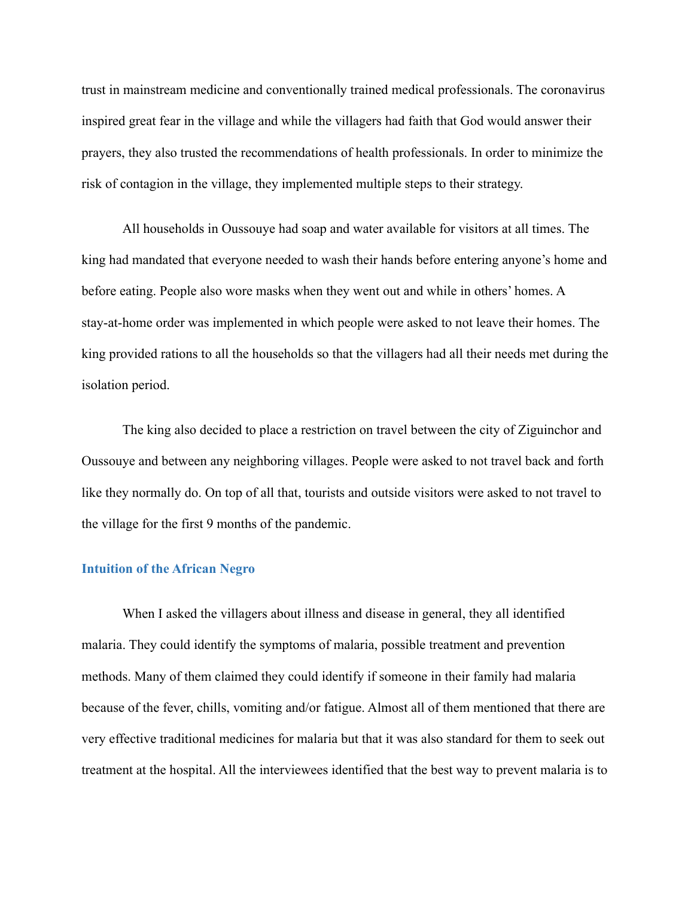trust in mainstream medicine and conventionally trained medical professionals. The coronavirus inspired great fear in the village and while the villagers had faith that God would answer their prayers, they also trusted the recommendations of health professionals. In order to minimize the risk of contagion in the village, they implemented multiple steps to their strategy.

All households in Oussouye had soap and water available for visitors at all times. The king had mandated that everyone needed to wash their hands before entering anyone's home and before eating. People also wore masks when they went out and while in others' homes. A stay-at-home order was implemented in which people were asked to not leave their homes. The king provided rations to all the households so that the villagers had all their needs met during the isolation period.

The king also decided to place a restriction on travel between the city of Ziguinchor and Oussouye and between any neighboring villages. People were asked to not travel back and forth like they normally do. On top of all that, tourists and outside visitors were asked to not travel to the village for the first 9 months of the pandemic.

#### **Intuition of the African Negro**

When I asked the villagers about illness and disease in general, they all identified malaria. They could identify the symptoms of malaria, possible treatment and prevention methods. Many of them claimed they could identify if someone in their family had malaria because of the fever, chills, vomiting and/or fatigue. Almost all of them mentioned that there are very effective traditional medicines for malaria but that it was also standard for them to seek out treatment at the hospital. All the interviewees identified that the best way to prevent malaria is to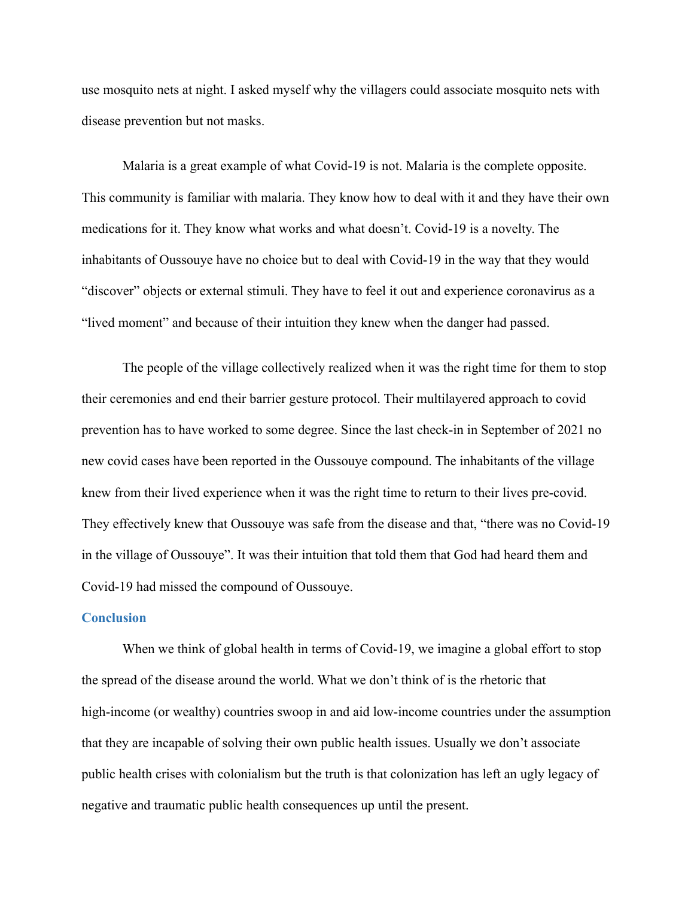use mosquito nets at night. I asked myself why the villagers could associate mosquito nets with disease prevention but not masks.

Malaria is a great example of what Covid-19 is not. Malaria is the complete opposite. This community is familiar with malaria. They know how to deal with it and they have their own medications for it. They know what works and what doesn't. Covid-19 is a novelty. The inhabitants of Oussouye have no choice but to deal with Covid-19 in the way that they would "discover" objects or external stimuli. They have to feel it out and experience coronavirus as a "lived moment" and because of their intuition they knew when the danger had passed.

The people of the village collectively realized when it was the right time for them to stop their ceremonies and end their barrier gesture protocol. Their multilayered approach to covid prevention has to have worked to some degree. Since the last check-in in September of 2021 no new covid cases have been reported in the Oussouye compound. The inhabitants of the village knew from their lived experience when it was the right time to return to their lives pre-covid. They effectively knew that Oussouye was safe from the disease and that, "there was no Covid-19 in the village of Oussouye". It was their intuition that told them that God had heard them and Covid-19 had missed the compound of Oussouye.

#### **Conclusion**

When we think of global health in terms of Covid-19, we imagine a global effort to stop the spread of the disease around the world. What we don't think of is the rhetoric that high-income (or wealthy) countries swoop in and aid low-income countries under the assumption that they are incapable of solving their own public health issues. Usually we don't associate public health crises with colonialism but the truth is that colonization has left an ugly legacy of negative and traumatic public health consequences up until the present.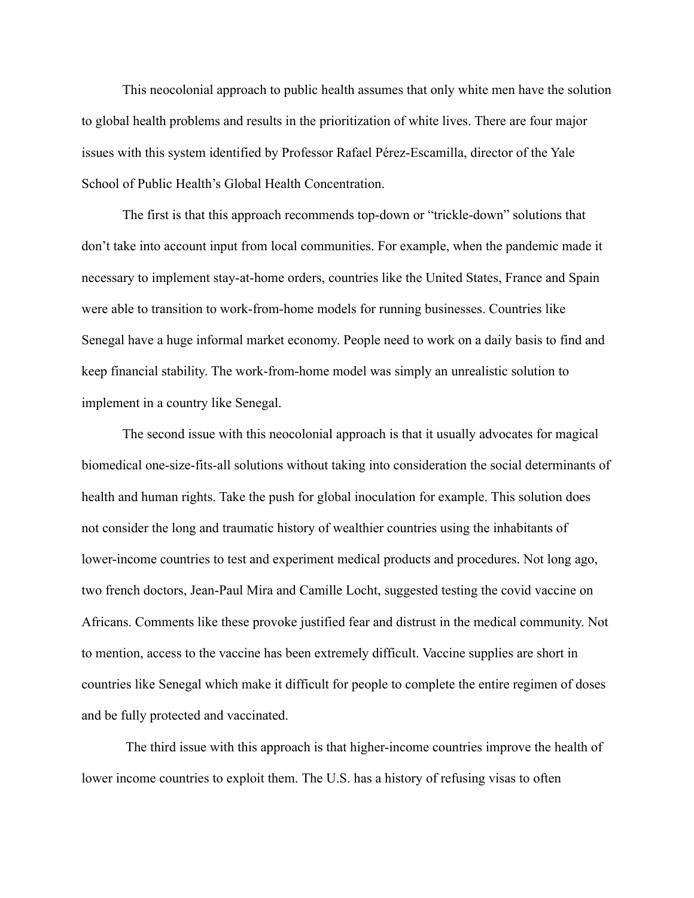This neocolonial approach to public health assumes that only white men have the solution to global health problems and results in the prioritization of white lives. There are four major issues with this system identified by Professor Rafael Pérez-Escamilla, director of the Yale School of Public Health's Global Health Concentration.

The first is that this approach recommends top-down or "trickle-down" solutions that don't take into account input from local communities. For example, when the pandemic made it necessary to implement stay-at-home orders, countries like the United States, France and Spain were able to transition to work-from-home models for running businesses. Countries like Senegal have a huge informal market economy. People need to work on a daily basis to find and keep financial stability. The work-from-home model was simply an unrealistic solution to implement in a country like Senegal.

The second issue with this neocolonial approach is that it usually advocates for magical biomedical one-size-fits-all solutions without taking into consideration the social determinants of health and human rights. Take the push for global inoculation for example. This solution does not consider the long and traumatic history of wealthier countries using the inhabitants of lower-income countries to test and experiment medical products and procedures. Not long ago, two french doctors, Jean-Paul Mira and Camille Locht, suggested testing the covid vaccine on Africans. Comments like these provoke justified fear and distrust in the medical community. Not to mention, access to the vaccine has been extremely difficult. Vaccine supplies are short in countries like Senegal which make it difficult for people to complete the entire regimen of doses and be fully protected and vaccinated.

The third issue with this approach is that higher-income countries improve the health of lower income countries to exploit them. The U.S. has a history of refusing visas to often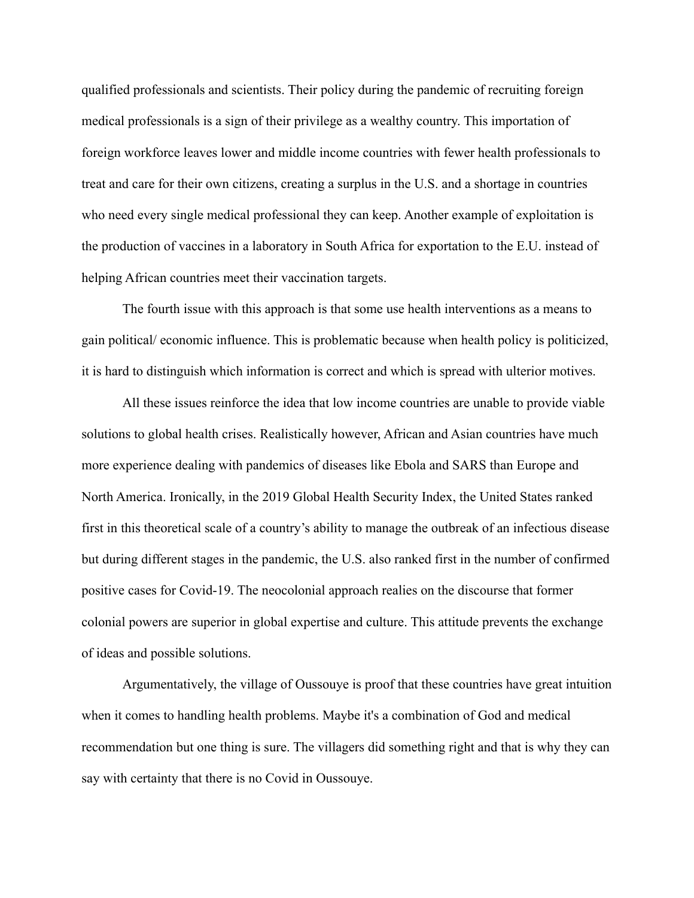qualified professionals and scientists. Their policy during the pandemic of recruiting foreign medical professionals is a sign of their privilege as a wealthy country. This importation of foreign workforce leaves lower and middle income countries with fewer health professionals to treat and care for their own citizens, creating a surplus in the U.S. and a shortage in countries who need every single medical professional they can keep. Another example of exploitation is the production of vaccines in a laboratory in South Africa for exportation to the E.U. instead of helping African countries meet their vaccination targets.

The fourth issue with this approach is that some use health interventions as a means to gain political/ economic influence. This is problematic because when health policy is politicized, it is hard to distinguish which information is correct and which is spread with ulterior motives.

All these issues reinforce the idea that low income countries are unable to provide viable solutions to global health crises. Realistically however, African and Asian countries have much more experience dealing with pandemics of diseases like Ebola and SARS than Europe and North America. Ironically, in the 2019 Global Health Security Index, the United States ranked first in this theoretical scale of a country's ability to manage the outbreak of an infectious disease but during different stages in the pandemic, the U.S. also ranked first in the number of confirmed positive cases for Covid-19. The neocolonial approach realies on the discourse that former colonial powers are superior in global expertise and culture. This attitude prevents the exchange of ideas and possible solutions.

Argumentatively, the village of Oussouye is proof that these countries have great intuition when it comes to handling health problems. Maybe it's a combination of God and medical recommendation but one thing is sure. The villagers did something right and that is why they can say with certainty that there is no Covid in Oussouye.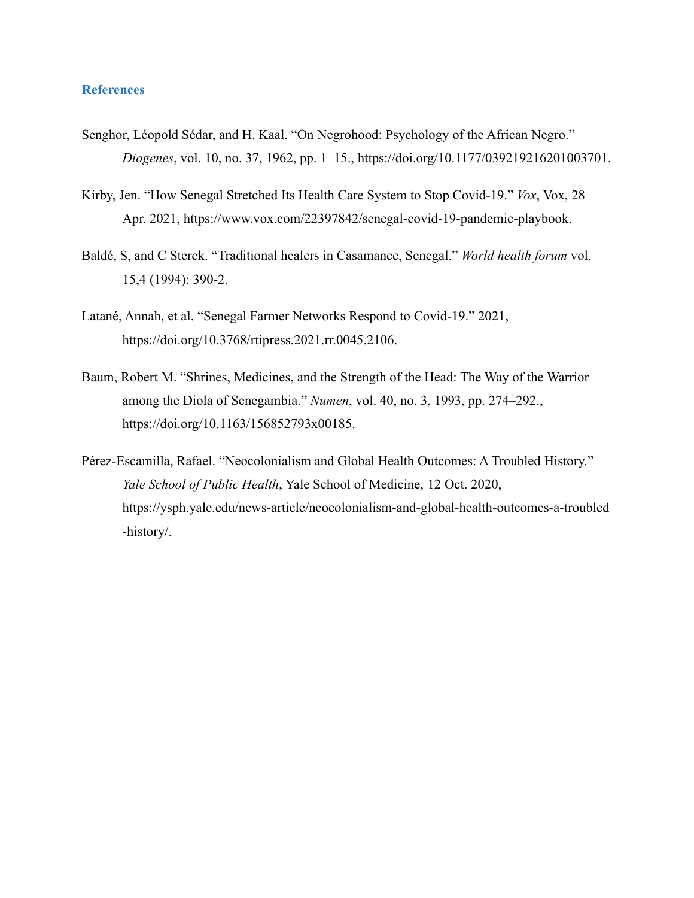#### **References**

- Senghor, Léopold Sédar, and H. Kaal. "On Negrohood: Psychology of the African Negro." *Diogenes*, vol. 10, no. 37, 1962, pp. 1–15., https://doi.org/10.1177/039219216201003701.
- Kirby, Jen. "How Senegal Stretched Its Health Care System to Stop Covid-19." *Vox*, Vox, 28 Apr. 2021, https://www.vox.com/22397842/senegal-covid-19-pandemic-playbook.
- Baldé, S, and C Sterck. "Traditional healers in Casamance, Senegal." *World health forum* vol. 15,4 (1994): 390-2.
- Latané, Annah, et al. "Senegal Farmer Networks Respond to Covid-19." 2021, https://doi.org/10.3768/rtipress.2021.rr.0045.2106.
- Baum, Robert M. "Shrines, Medicines, and the Strength of the Head: The Way of the Warrior among the Diola of Senegambia." *Numen*, vol. 40, no. 3, 1993, pp. 274–292., https://doi.org/10.1163/156852793x00185.
- Pérez-Escamilla, Rafael. "Neocolonialism and Global Health Outcomes: A Troubled History." *Yale School of Public Health*, Yale School of Medicine, 12 Oct. 2020, https://ysph.yale.edu/news-article/neocolonialism-and-global-health-outcomes-a-troubled -history/.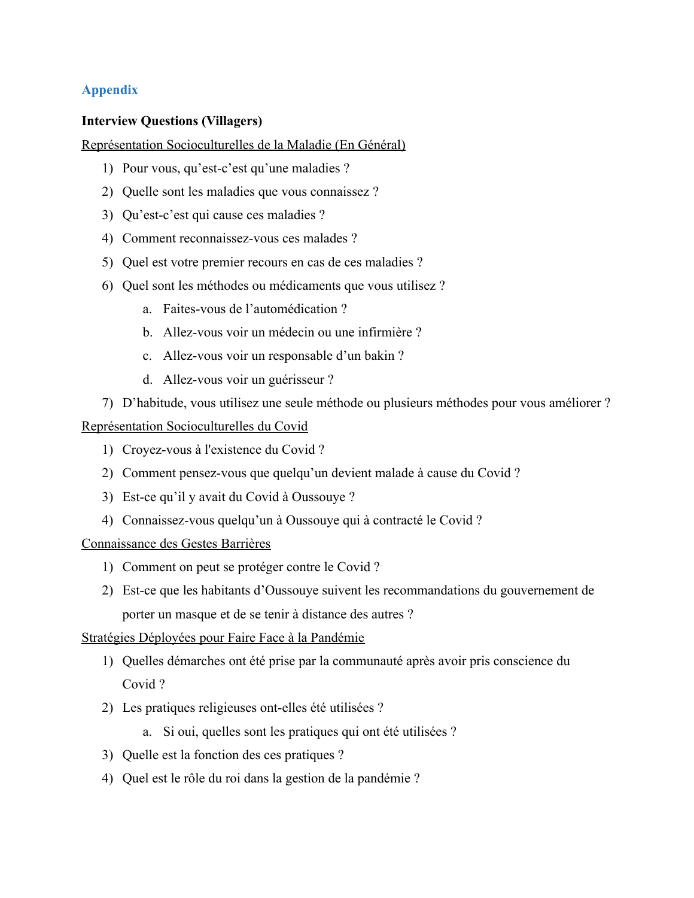### **Appendix**

#### **Interview Questions (Villagers)**

#### Représentation Socioculturelles de la Maladie (En Général)

- 1) Pour vous, qu'est-c'est qu'une maladies ?
- 2) Quelle sont les maladies que vous connaissez ?
- 3) Qu'est-c'est qui cause ces maladies ?
- 4) Comment reconnaissez-vous ces malades ?
- 5) Quel est votre premier recours en cas de ces maladies ?
- 6) Quel sont les méthodes ou médicaments que vous utilisez ?
	- a. Faites-vous de l'automédication ?
	- b. Allez-vous voir un médecin ou une infirmière ?
	- c. Allez-vous voir un responsable d'un bakin ?
	- d. Allez-vous voir un guérisseur ?
- 7) D'habitude, vous utilisez une seule méthode ou plusieurs méthodes pour vous améliorer ?

## Représentation Socioculturelles du Covid

- 1) Croyez-vous à l'existence du Covid ?
- 2) Comment pensez-vous que quelqu'un devient malade à cause du Covid ?
- 3) Est-ce qu'il y avait du Covid à Oussouye ?
- 4) Connaissez-vous quelqu'un à Oussouye qui à contracté le Covid ?

#### Connaissance des Gestes Barrières

- 1) Comment on peut se protéger contre le Covid ?
- 2) Est-ce que les habitants d'Oussouye suivent les recommandations du gouvernement de porter un masque et de se tenir à distance des autres ?

#### Stratégies Déployées pour Faire Face à la Pandémie

- 1) Quelles démarches ont été prise par la communauté après avoir pris conscience du Covid ?
- 2) Les pratiques religieuses ont-elles été utilisées ?
	- a. Si oui, quelles sont les pratiques qui ont été utilisées ?
- 3) Quelle est la fonction des ces pratiques ?
- 4) Quel est le rôle du roi dans la gestion de la pandémie ?